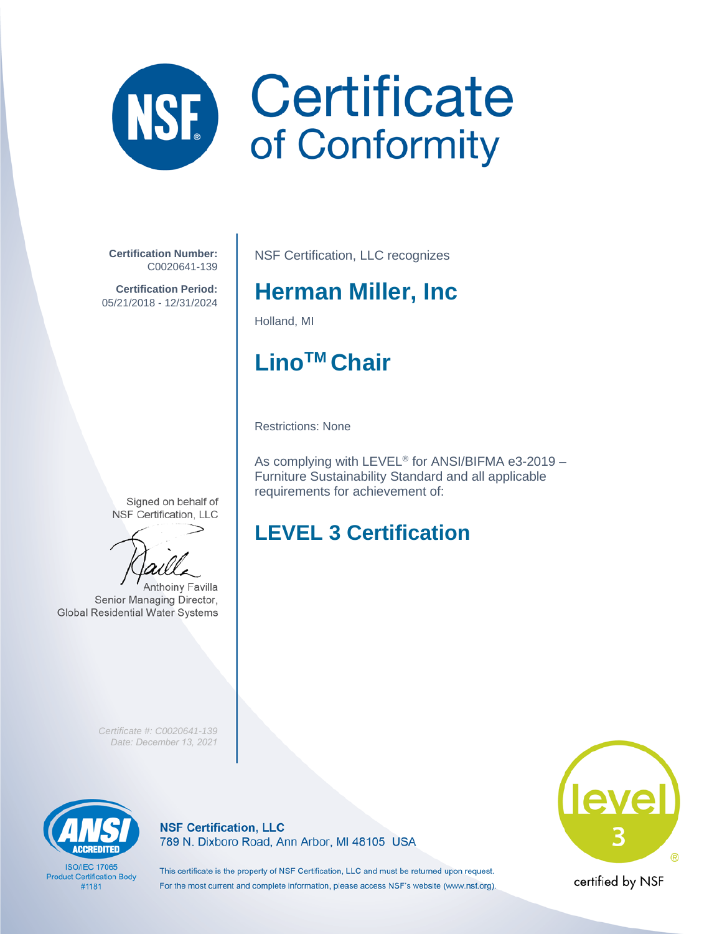# **Certificate**<br>of Conformity NSE

**Certification Number:** C0020641-139

**Certification Period:** 05/21/2018 - 12/31/2024 NSF Certification, LLC recognizes

## **Herman Miller, Inc**

Holland, MI

# **LinoTM Chair**

Restrictions: None

As complying with LEVEL® for ANSI/BIFMA e3-2019 – Furniture Sustainability Standard and all applicable requirements for achievement of:

### **LEVEL 3 Certification**

**Anthoinv Favilla** 

*Certificate #: C0020641-139 Date: December 13, 2021*



**ISO/IEC 17065 Product Certification Body** #1181

**NSF Certification, LLC** 789 N. Dixboro Road, Ann Arbor, MI 48105 USA level

This certificate is the property of NSF Certification, LLC and must be returned upon request. For the most current and complete information, please access NSF's website (www.nsf.org).

certified by NSF

Signed on behalf of NSF Certification, LLC

Senior Managing Director, **Global Residential Water Systems**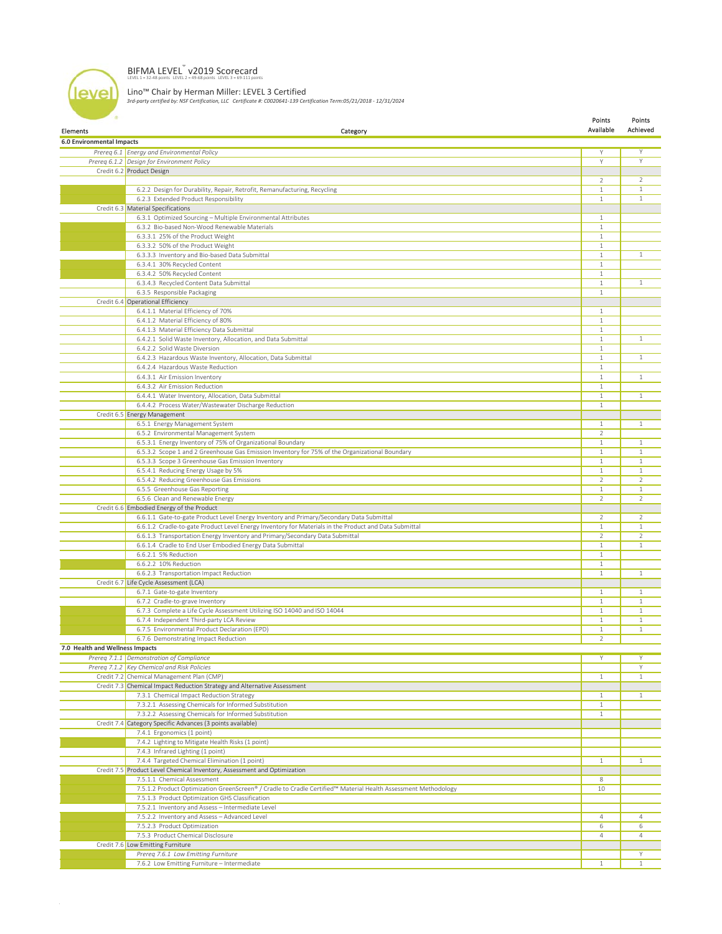#### BIFMA LEVEL<sup>®</sup> v2019 Scorecard

level

Lino™ Chair by Herman Miller: LEVEL 3 Certified *3rd-party certified by: NSF Certification, LLC Certificate #: C0020641-139 Certification Term:05/21/2018 - 12/31/2024*

| Elements                         | Category                                                                                                       | Points<br>Available | Points<br>Achieved |
|----------------------------------|----------------------------------------------------------------------------------------------------------------|---------------------|--------------------|
| <b>6.0 Environmental Impacts</b> |                                                                                                                |                     |                    |
|                                  | Prereg 6.1 Energy and Environmental Policy                                                                     | Y                   | $\overline{Y}$     |
|                                  | Prereg 6.1.2 Design for Environment Policy                                                                     | Y                   | Υ                  |
|                                  | Credit 6.2 Product Design                                                                                      |                     |                    |
|                                  |                                                                                                                | 2                   | $\mathcal{L}$      |
|                                  | 6.2.2 Design for Durability, Repair, Retrofit, Remanufacturing, Recycling                                      | $1\,$               | 1                  |
|                                  | 6.2.3 Extended Product Responsibility                                                                          | $\mathbf{1}$        | $\mathbf{1}$       |
|                                  | Credit 6.3 Material Specifications                                                                             |                     |                    |
|                                  |                                                                                                                | $\mathbf{1}$        |                    |
|                                  | 6.3.1 Optimized Sourcing - Multiple Environmental Attributes                                                   |                     |                    |
|                                  | 6.3.2 Bio-based Non-Wood Renewable Materials                                                                   | $\mathbf{1}$        |                    |
|                                  | 6.3.3.1 25% of the Product Weight                                                                              | $\mathbf{1}$        |                    |
|                                  | 6.3.3.2 50% of the Product Weight                                                                              | $\mathbf{1}$        | $\mathbf{1}$       |
|                                  | 6.3.3.3 Inventory and Bio-based Data Submittal                                                                 | $\mathbf{1}$        |                    |
|                                  | 6.3.4.1 30% Recycled Content                                                                                   | $\mathbf{1}$        |                    |
|                                  | 6.3.4.2 50% Recycled Content                                                                                   | $\mathbf{1}$        |                    |
|                                  | 6.3.4.3 Recycled Content Data Submittal                                                                        | $\mathbf{1}$        | $\mathbf{1}$       |
|                                  | 6.3.5 Responsible Packaging                                                                                    | $\mathbf{1}$        |                    |
|                                  | Credit 6.4 Operational Efficiency                                                                              |                     |                    |
|                                  | 6.4.1.1 Material Efficiency of 70%                                                                             | $\mathbf{1}$        |                    |
|                                  | 6.4.1.2 Material Efficiency of 80%                                                                             | $1\,$               |                    |
|                                  | 6.4.1.3 Material Efficiency Data Submittal                                                                     | $\mathbf{1}$        |                    |
|                                  | 6.4.2.1 Solid Waste Inventory, Allocation, and Data Submittal                                                  | $\mathbf{1}$        | $\mathbf{1}$       |
|                                  | 6.4.2.2 Solid Waste Diversion                                                                                  | $\mathbf{1}$        |                    |
|                                  | 6.4.2.3 Hazardous Waste Inventory, Allocation, Data Submittal                                                  | $\mathbf{1}$        | $\mathbf{1}$       |
|                                  | 6.4.2.4 Hazardous Waste Reduction                                                                              | $\mathbf{1}$        |                    |
|                                  | 6.4.3.1 Air Emission Inventory                                                                                 | $\mathbf{1}$        | $\mathbf{1}$       |
|                                  | 6.4.3.2 Air Emission Reduction                                                                                 | $\mathbf{1}$        |                    |
|                                  | 6.4.4.1 Water Inventory, Allocation, Data Submittal                                                            | $1\,$               | $\mathbf{1}$       |
|                                  | 6.4.4.2 Process Water/Wastewater Discharge Reduction                                                           | $\mathbf{1}$        |                    |
|                                  | Credit 6.5 Energy Management                                                                                   |                     |                    |
|                                  | 6.5.1 Energy Management System                                                                                 | $\mathbf{1}$        | $\mathbf{1}$       |
|                                  | 6.5.2 Environmental Management System                                                                          | $\overline{2}$      |                    |
|                                  | 6.5.3.1 Energy Inventory of 75% of Organizational Boundary                                                     | $1\,$               | $\mathbf{1}$       |
|                                  | 6.5.3.2 Scope 1 and 2 Greenhouse Gas Emission Inventory for 75% of the Organizational Boundary                 | $\mathbf{1}$        | $\mathbf{1}$       |
|                                  | 6.5.3.3 Scope 3 Greenhouse Gas Emission Inventory                                                              | $\mathbf{1}$        | 1                  |
|                                  | 6.5.4.1 Reducing Energy Usage by 5%                                                                            | $1\,$               | $\mathbf{1}$       |
|                                  | 6.5.4.2 Reducing Greenhouse Gas Emissions                                                                      | 2                   | 2                  |
|                                  | 6.5.5 Greenhouse Gas Reporting                                                                                 | $\mathbf{1}$        | 1                  |
|                                  | 6.5.6 Clean and Renewable Energy                                                                               | $\overline{2}$      | $\overline{2}$     |
|                                  | Credit 6.6 Embodied Energy of the Product                                                                      |                     |                    |
|                                  | 6.6.1.1 Gate-to-gate Product Level Energy Inventory and Primary/Secondary Data Submittal                       | $\overline{2}$      | 2                  |
|                                  | 6.6.1.2 Cradle-to-gate Product Level Energy Inventory for Materials in the Product and Data Submittal          | $\mathbf{1}$        | $\mathbf{1}$       |
|                                  | 6.6.1.3 Transportation Energy Inventory and Primary/Secondary Data Submittal                                   | $\overline{2}$      | 2                  |
|                                  | 6.6.1.4 Cradle to End User Embodied Energy Data Submittal                                                      | $\mathbf{1}$        | 1                  |
|                                  | 6.6.2.1 5% Reduction                                                                                           | $\mathbf{1}$        |                    |
|                                  | 6.6.2.2 10% Reduction                                                                                          | $\mathbf{1}$        |                    |
|                                  | 6.6.2.3 Transportation Impact Reduction                                                                        | $\mathbf{1}$        | $\mathbf{1}$       |
|                                  | Credit 6.7 Life Cycle Assessment (LCA)                                                                         |                     |                    |
|                                  | 6.7.1 Gate-to-gate Inventory                                                                                   | $\mathbf{1}$        | $\mathbf{1}$       |
|                                  | 6.7.2 Cradle-to-grave Inventory                                                                                | $\mathbf{1}$        | $\mathbf{1}$       |
|                                  | 6.7.3 Complete a Life Cycle Assessment Utilizing ISO 14040 and ISO 14044                                       | $\mathbf{1}$        | $\mathbf{1}$       |
|                                  | 6.7.4 Independent Third-party LCA Review                                                                       | $\mathbf{1}$        | 1                  |
|                                  | 6.7.5 Environmental Product Declaration (EPD)                                                                  | $1\,$               | $\mathbf{1}$       |
|                                  | 6.7.6 Demonstrating Impact Reduction                                                                           | 2                   |                    |
| 7.0 Health and Wellness Impacts  |                                                                                                                |                     |                    |
|                                  | Prereq 7.1.1 Demonstration of Compliance                                                                       | Y                   | Υ                  |
|                                  |                                                                                                                |                     |                    |
|                                  | Prereg 7.1.2 Key Chemical and Risk Policies                                                                    |                     | Υ<br>$\mathbf{1}$  |
|                                  | Credit 7.2 Chemical Management Plan (CMP)                                                                      | $\mathbf{1}$        |                    |
|                                  | Credit 7.3 Chemical Impact Reduction Strategy and Alternative Assessment                                       |                     |                    |
|                                  | 7.3.1 Chemical Impact Reduction Strategy                                                                       | $\mathbf{1}$        | $\mathbf{1}$       |
|                                  | 7.3.2.1 Assessing Chemicals for Informed Substitution                                                          | $\mathbf{1}$        |                    |
|                                  | 7.3.2.2 Assessing Chemicals for Informed Substitution                                                          | $\mathbf{1}$        |                    |
|                                  | Credit 7.4 Category Specific Advances (3 points available)                                                     |                     |                    |
|                                  | 7.4.1 Ergonomics (1 point)                                                                                     |                     |                    |
|                                  | 7.4.2 Lighting to Mitigate Health Risks (1 point)                                                              |                     |                    |
|                                  | 7.4.3 Infrared Lighting (1 point)                                                                              |                     |                    |
|                                  | 7.4.4 Targeted Chemical Elimination (1 point)                                                                  | $\mathbf{1}$        | $\mathbf{1}$       |
|                                  | Credit 7.5 Product Level Chemical Inventory, Assessment and Optimization                                       |                     |                    |
|                                  | 7.5.1.1 Chemical Assessment                                                                                    | 8                   |                    |
|                                  | 7.5.1.2 Product Optimization GreenScreen® / Cradle to Cradle Certified™ Material Health Assessment Methodology | 10                  |                    |
|                                  | 7.5.1.3 Product Optimization GHS Classification                                                                |                     |                    |
|                                  | 7.5.2.1 Inventory and Assess - Intermediate Level                                                              |                     |                    |
|                                  | 7.5.2.2 Inventory and Assess - Advanced Level                                                                  | $\overline{4}$      | $\overline{4}$     |
|                                  | 7.5.2.3 Product Optimization                                                                                   | 6                   | 6                  |
|                                  | 7.5.3 Product Chemical Disclosure                                                                              | 4                   | $\overline{4}$     |
|                                  | Credit 7.6 Low Emitting Furniture                                                                              |                     |                    |
|                                  | Prereq 7.6.1 Low Emitting Furniture                                                                            |                     | Υ                  |
|                                  | 7.6.2 Low Emitting Furniture - Intermediate                                                                    | $\mathbf{1}$        |                    |